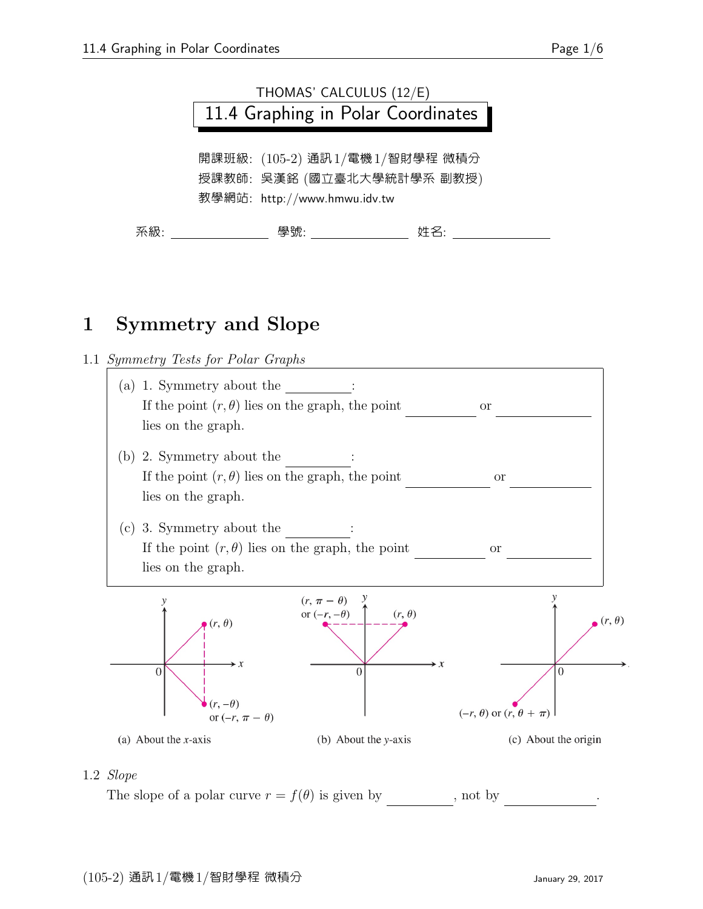

教學網站: http://www.hmwu.idv.tw

| ឃ<br>治敝<br>122 | 6组 0占<br>יור |  |
|----------------|--------------|--|

# 1 Symmetry and Slope

1.1 Symmetry Tests for Polar Graphs



### 1.2 Slope

The slope of a polar curve  $r = f(\theta)$  is given by , not by <sup>0</sup> = df/dθ .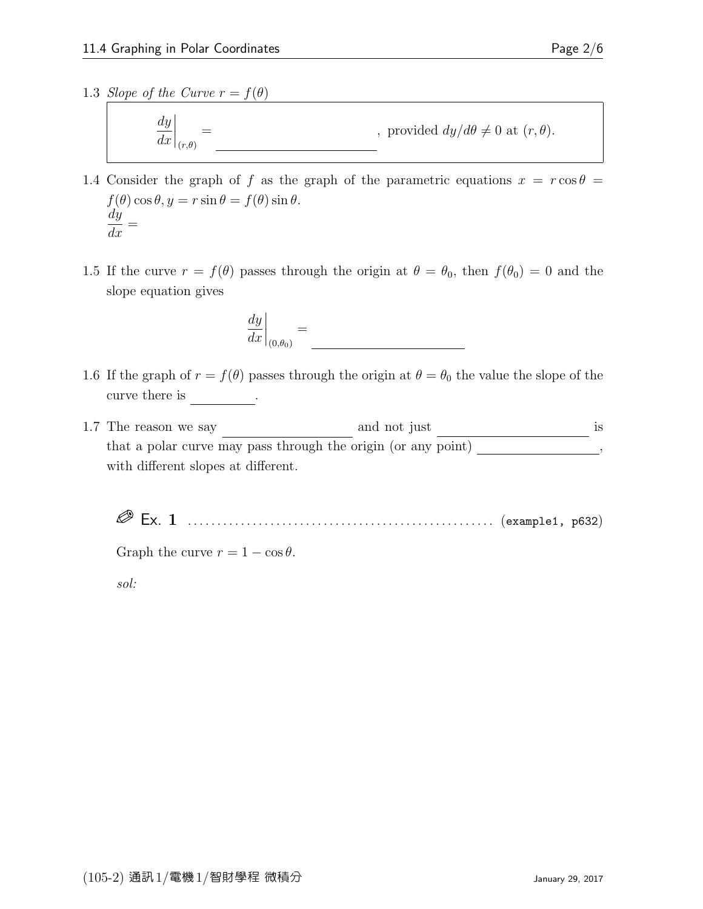1.3 Slope of the Curve  $r = f(\theta)$ 

$$
\left. \frac{dy}{dx} \right|_{(r,\theta)} = \underline{\qquad \qquad , \text{ provided } dy/d\theta \neq 0 \text{ at } (r,\theta).
$$

- 1.4 Consider the graph of f as the graph of the parametric equations  $x = r \cos \theta =$  $f(\theta) \cos \theta, y = r \sin \theta = f(\theta) \sin \theta.$ dy  $\frac{dy}{dx} =$
- 1.5 If the curve  $r = f(\theta)$  passes through the origin at  $\theta = \theta_0$ , then  $f(\theta_0) = 0$  and the slope equation gives

$$
\left. \frac{dy}{dx} \right|_{(0,\theta_0)} =
$$

- 1.6 If the graph of  $r = f(\theta)$  passes through the origin at  $\theta = \theta_0$  the value the slope of the curve there is  $\qquad \qquad$ .
- 1.7 The reason we say  $\frac{1}{s}$  and not just  $\frac{1}{s}$  is that a polar curve may pass through the origin (or any  $\overline{\text{point}}$ )  $\overline{\text{point}}$ , with different slopes at different.

Ex. 1 . . . . . . . . . . . . . . . . . . . . . . . . . . . . . . . . . . . . . . . . . . . . . . . . . . . . (example1, p632)

Graph the curve  $r = 1 - \cos \theta$ .

sol: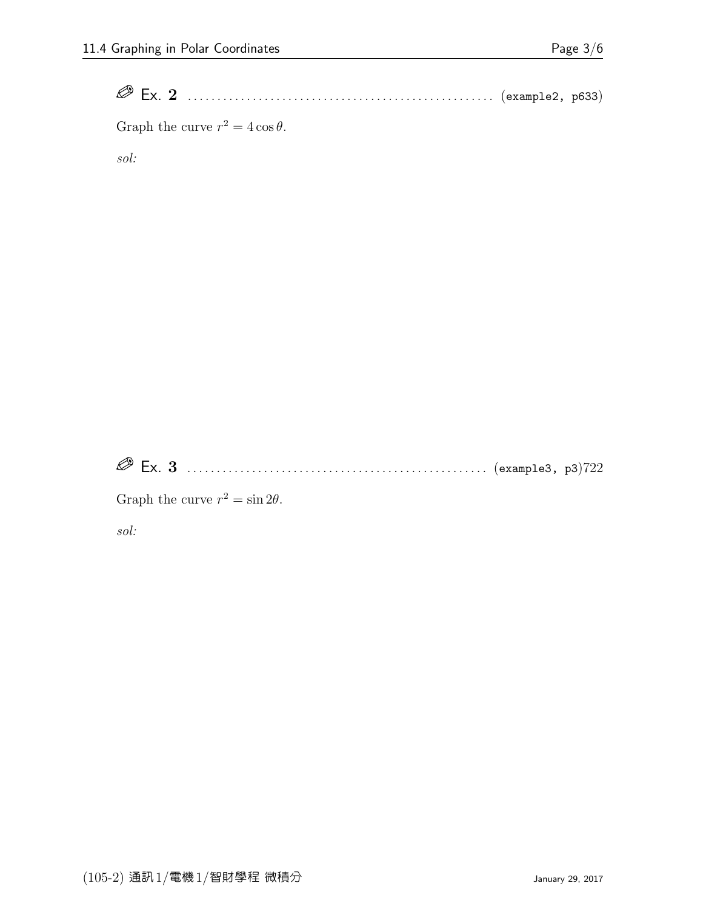Ex. 2 . . . . . . . . . . . . . . . . . . . . . . . . . . . . . . . . . . . . . . . . . . . . . . . . . . . . (example2, p633)

Graph the curve  $r^2 = 4 \cos \theta$ .

sol:

Ex. 3 . . . . . . . . . . . . . . . . . . . . . . . . . . . . . . . . . . . . . . . . . . . . . . . . . . . (example3, p3)722

Graph the curve  $r^2 = \sin 2\theta$ .

sol: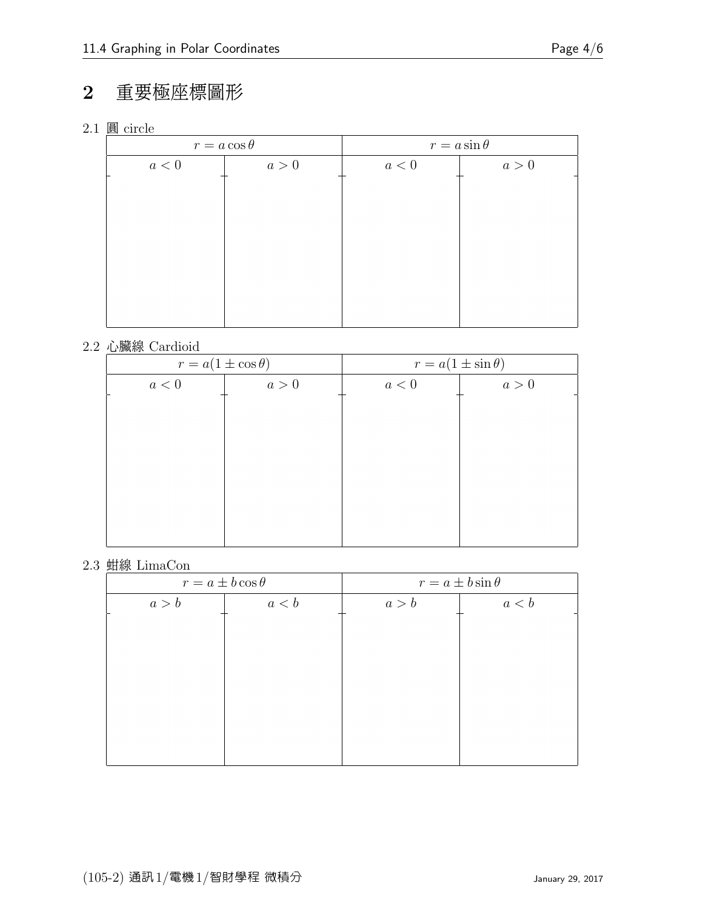# 2 重要極座標圖形

2.1 圓 circle

|     | $r = a \cos \theta$ |     | $r = a \sin \theta$ |
|-----|---------------------|-----|---------------------|
| a<0 | a > 0               | a<0 | a>0                 |
|     |                     |     |                     |
|     |                     |     |                     |
|     |                     |     |                     |
|     |                     |     |                     |
|     |                     |     |                     |
|     |                     |     |                     |
|     |                     |     |                     |
|     |                     |     |                     |

## 2.2 心臟線 Cardioid

| $r = a(1 \pm \cos \theta)$ |       | $r = a(1 \pm \sin \theta)$ |     |
|----------------------------|-------|----------------------------|-----|
| $a<0$                      | a > 0 | a<0                        | a>0 |
|                            |       |                            |     |
|                            |       |                            |     |
|                            |       |                            |     |
|                            |       |                            |     |
|                            |       |                            |     |
|                            |       |                            |     |
|                            |       |                            |     |
|                            |       |                            |     |

#### 2.3 蚶線 LimaCon

|       | $r = a \pm b \cos \theta$ | $r = a \pm b \sin \theta$ |       |
|-------|---------------------------|---------------------------|-------|
| a > b | a < b                     | a > b                     | a < b |
|       |                           |                           |       |
|       |                           |                           |       |
|       |                           |                           |       |
|       |                           |                           |       |
|       |                           |                           |       |
|       |                           |                           |       |
|       |                           |                           |       |
|       |                           |                           |       |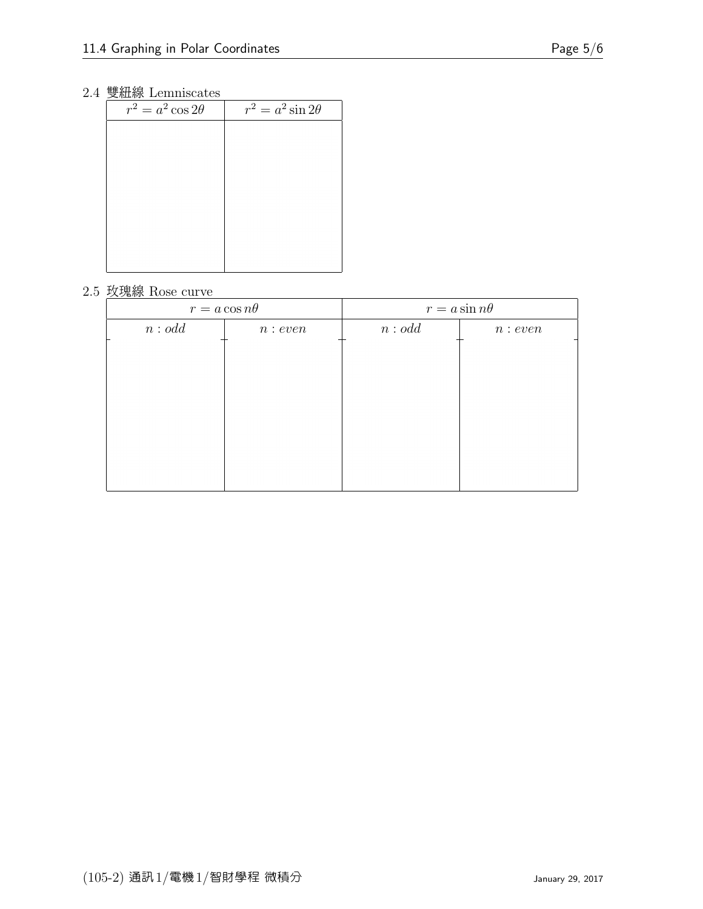## 2.4 雙紐線 Lemniscates

| -----                    |                          |
|--------------------------|--------------------------|
| $r^2 = a^2 \cos 2\theta$ | $r^2 = a^2 \sin 2\theta$ |
|                          |                          |
|                          |                          |
|                          |                          |
|                          |                          |
|                          |                          |
|                          |                          |
|                          |                          |
|                          |                          |
|                          |                          |

#### 2.5 玫瑰線 Rose curve

|       | $r = a \cos n\theta$ | $r = a \sin n\theta$ |         |
|-------|----------------------|----------------------|---------|
| n:odd | n: even              | n:odd                | n: even |
|       |                      |                      |         |
|       |                      |                      |         |
|       |                      |                      |         |
|       |                      |                      |         |
|       |                      |                      |         |
|       |                      |                      |         |
|       |                      |                      |         |
|       |                      |                      |         |